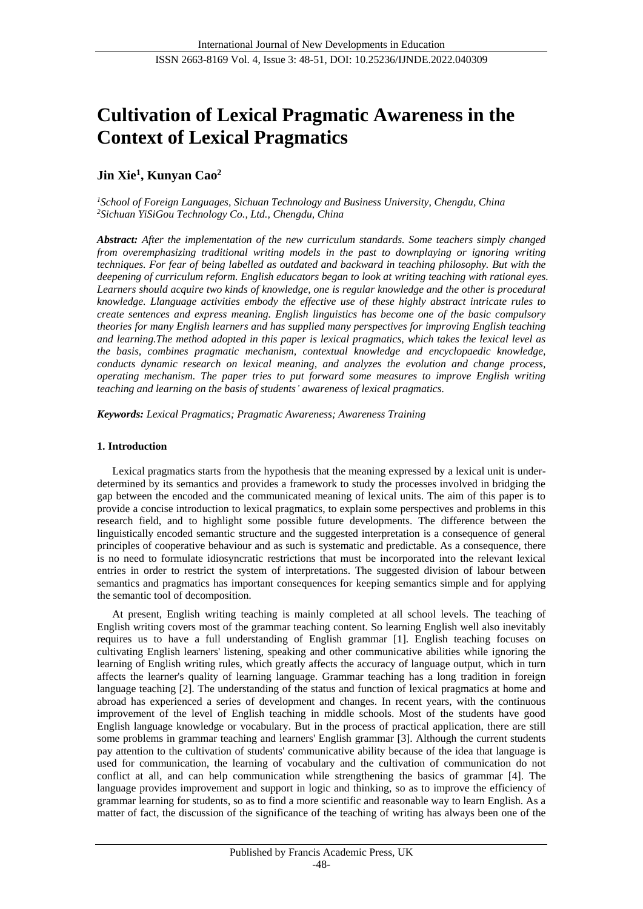# **Cultivation of Lexical Pragmatic Awareness in the Context of Lexical Pragmatics**

# **Jin Xie<sup>1</sup> , Kunyan Cao<sup>2</sup>**

*<sup>1</sup>School of Foreign Languages, Sichuan Technology and Business University, Chengdu, China <sup>2</sup>Sichuan YiSiGou Technology Co., Ltd., Chengdu, China*

*Abstract: After the implementation of the new curriculum standards. Some teachers simply changed from overemphasizing traditional writing models in the past to downplaying or ignoring writing techniques. For fear of being labelled as outdated and backward in teaching philosophy. But with the deepening of curriculum reform. English educators began to look at writing teaching with rational eyes. Learners should acquire two kinds of knowledge, one is regular knowledge and the other is procedural knowledge. Llanguage activities embody the effective use of these highly abstract intricate rules to create sentences and express meaning. English linguistics has become one of the basic compulsory theories for many English learners and has supplied many perspectives for improving English teaching and learning.The method adopted in this paper is lexical pragmatics, which takes the lexical level as the basis, combines pragmatic mechanism, contextual knowledge and encyclopaedic knowledge, conducts dynamic research on lexical meaning, and analyzes the evolution and change process, operating mechanism. The paper tries to put forward some measures to improve English writing teaching and learning on the basis of students' awareness of lexical pragmatics.*

*Keywords: Lexical Pragmatics; Pragmatic Awareness; Awareness Training*

# **1. Introduction**

Lexical pragmatics starts from the hypothesis that the meaning expressed by a lexical unit is underdetermined by its semantics and provides a framework to study the processes involved in bridging the gap between the encoded and the communicated meaning of lexical units. The aim of this paper is to provide a concise introduction to lexical pragmatics, to explain some perspectives and problems in this research field, and to highlight some possible future developments. The difference between the linguistically encoded semantic structure and the suggested interpretation is a consequence of general principles of cooperative behaviour and as such is systematic and predictable. As a consequence, there is no need to formulate idiosyncratic restrictions that must be incorporated into the relevant lexical entries in order to restrict the system of interpretations. The suggested division of labour between semantics and pragmatics has important consequences for keeping semantics simple and for applying the semantic tool of decomposition.

At present, English writing teaching is mainly completed at all school levels. The teaching of English writing covers most of the grammar teaching content. So learning English well also inevitably requires us to have a full understanding of English grammar [1]. English teaching focuses on cultivating English learners' listening, speaking and other communicative abilities while ignoring the learning of English writing rules, which greatly affects the accuracy of language output, which in turn affects the learner's quality of learning language. Grammar teaching has a long tradition in foreign language teaching [2]. The understanding of the status and function of lexical pragmatics at home and abroad has experienced a series of development and changes. In recent years, with the continuous improvement of the level of English teaching in middle schools. Most of the students have good English language knowledge or vocabulary. But in the process of practical application, there are still some problems in grammar teaching and learners' English grammar [3]. Although the current students pay attention to the cultivation of students' communicative ability because of the idea that language is used for communication, the learning of vocabulary and the cultivation of communication do not conflict at all, and can help communication while strengthening the basics of grammar [4]. The language provides improvement and support in logic and thinking, so as to improve the efficiency of grammar learning for students, so as to find a more scientific and reasonable way to learn English. As a matter of fact, the discussion of the significance of the teaching of writing has always been one of the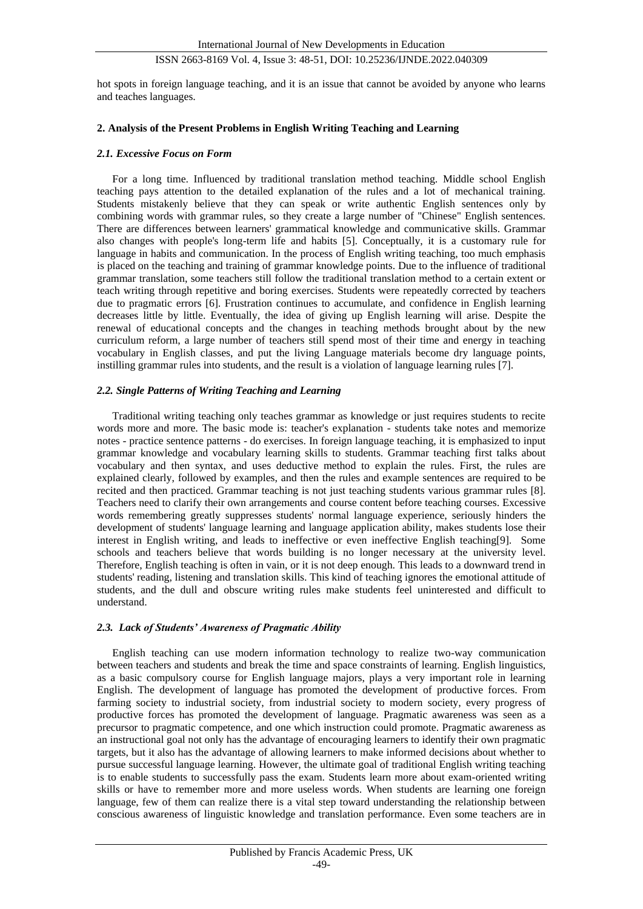# ISSN 2663-8169 Vol. 4, Issue 3: 48-51, DOI: 10.25236/IJNDE.2022.040309

hot spots in foreign language teaching, and it is an issue that cannot be avoided by anyone who learns and teaches languages.

#### **2. Analysis of the Present Problems in English Writing Teaching and Learning**

#### *2.1. Excessive Focus on Form*

For a long time. Influenced by traditional translation method teaching. Middle school English teaching pays attention to the detailed explanation of the rules and a lot of mechanical training. Students mistakenly believe that they can speak or write authentic English sentences only by combining words with grammar rules, so they create a large number of "Chinese" English sentences. There are differences between learners' grammatical knowledge and communicative skills. Grammar also changes with people's long-term life and habits [5]. Conceptually, it is a customary rule for language in habits and communication. In the process of English writing teaching, too much emphasis is placed on the teaching and training of grammar knowledge points. Due to the influence of traditional grammar translation, some teachers still follow the traditional translation method to a certain extent or teach writing through repetitive and boring exercises. Students were repeatedly corrected by teachers due to pragmatic errors [6]. Frustration continues to accumulate, and confidence in English learning decreases little by little. Eventually, the idea of giving up English learning will arise. Despite the renewal of educational concepts and the changes in teaching methods brought about by the new curriculum reform, a large number of teachers still spend most of their time and energy in teaching vocabulary in English classes, and put the living Language materials become dry language points, instilling grammar rules into students, and the result is a violation of language learning rules [7].

#### *2.2. Single Patterns of Writing Teaching and Learning*

Traditional writing teaching only teaches grammar as knowledge or just requires students to recite words more and more. The basic mode is: teacher's explanation - students take notes and memorize notes - practice sentence patterns - do exercises. In foreign language teaching, it is emphasized to input grammar knowledge and vocabulary learning skills to students. Grammar teaching first talks about vocabulary and then syntax, and uses deductive method to explain the rules. First, the rules are explained clearly, followed by examples, and then the rules and example sentences are required to be recited and then practiced. Grammar teaching is not just teaching students various grammar rules [8]. Teachers need to clarify their own arrangements and course content before teaching courses. Excessive words remembering greatly suppresses students' normal language experience, seriously hinders the development of students' language learning and language application ability, makes students lose their interest in English writing, and leads to ineffective or even ineffective English teaching[9]. Some schools and teachers believe that words building is no longer necessary at the university level. Therefore, English teaching is often in vain, or it is not deep enough. This leads to a downward trend in students' reading, listening and translation skills. This kind of teaching ignores the emotional attitude of students, and the dull and obscure writing rules make students feel uninterested and difficult to understand.

# *2.3. Lack of Students' Awareness of Pragmatic Ability*

English teaching can use modern information technology to realize two-way communication between teachers and students and break the time and space constraints of learning. English linguistics, as a basic compulsory course for English language majors, plays a very important role in learning English. The development of language has promoted the development of productive forces. From farming society to industrial society, from industrial society to modern society, every progress of productive forces has promoted the development of language. Pragmatic awareness was seen as a precursor to pragmatic competence, and one which instruction could promote. Pragmatic awareness as an instructional goal not only has the advantage of encouraging learners to identify their own pragmatic targets, but it also has the advantage of allowing learners to make informed decisions about whether to pursue successful language learning. However, the ultimate goal of traditional English writing teaching is to enable students to successfully pass the exam. Students learn more about exam-oriented writing skills or have to remember more and more useless words. When students are learning one foreign language, few of them can realize there is a vital step toward understanding the relationship between conscious awareness of linguistic knowledge and translation performance. Even some teachers are in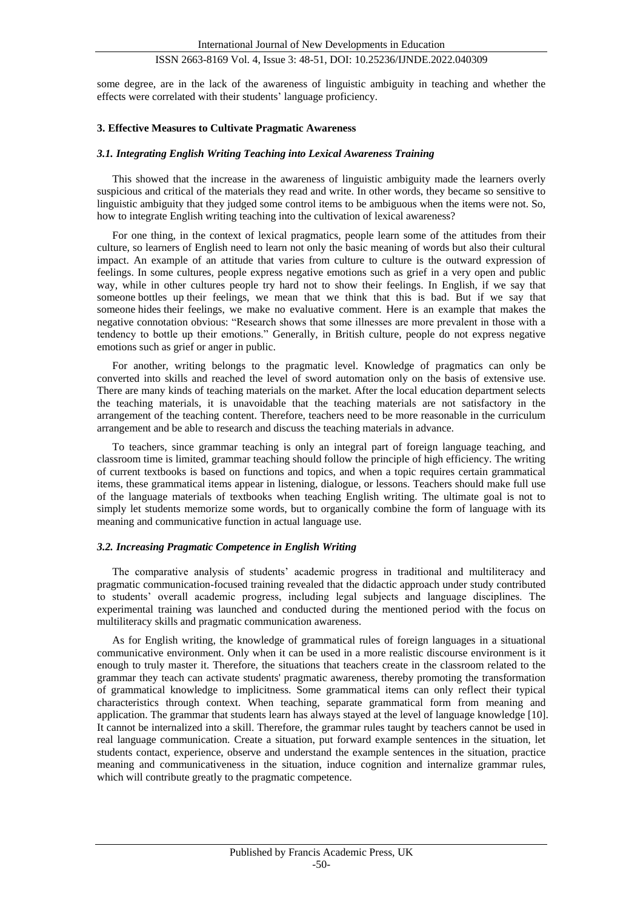# ISSN 2663-8169 Vol. 4, Issue 3: 48-51, DOI: 10.25236/IJNDE.2022.040309

some degree, are in the lack of the awareness of linguistic ambiguity in teaching and whether the effects were correlated with their students' language proficiency.

#### **3. Effective Measures to Cultivate Pragmatic Awareness**

#### *3.1. Integrating English Writing Teaching into Lexical Awareness Training*

This showed that the increase in the awareness of linguistic ambiguity made the learners overly suspicious and critical of the materials they read and write. In other words, they became so sensitive to linguistic ambiguity that they judged some control items to be ambiguous when the items were not. So, how to integrate English writing teaching into the cultivation of lexical awareness?

For one thing, in the context of lexical pragmatics, people learn some of the attitudes from their culture, so learners of English need to learn not only the basic meaning of words but also their cultural impact. An example of an attitude that varies from culture to culture is the outward expression of feelings. In some cultures, people express negative emotions such as grief in a very open and public way, while in other cultures people try hard not to show their feelings. In English, if we say that someone bottles up their feelings, we mean that we think that this is bad. But if we say that someone hides their feelings, we make no evaluative comment. Here is an example that makes the negative connotation obvious: "Research shows that some illnesses are more prevalent in those with a tendency to bottle up their emotions." Generally, in British culture, people do not express negative emotions such as grief or anger in public.

For another, writing belongs to the pragmatic level. Knowledge of pragmatics can only be converted into skills and reached the level of sword automation only on the basis of extensive use. There are many kinds of teaching materials on the market. After the local education department selects the teaching materials, it is unavoidable that the teaching materials are not satisfactory in the arrangement of the teaching content. Therefore, teachers need to be more reasonable in the curriculum arrangement and be able to research and discuss the teaching materials in advance.

To teachers, since grammar teaching is only an integral part of foreign language teaching, and classroom time is limited, grammar teaching should follow the principle of high efficiency. The writing of current textbooks is based on functions and topics, and when a topic requires certain grammatical items, these grammatical items appear in listening, dialogue, or lessons. Teachers should make full use of the language materials of textbooks when teaching English writing. The ultimate goal is not to simply let students memorize some words, but to organically combine the form of language with its meaning and communicative function in actual language use.

#### *3.2. Increasing Pragmatic Competence in English Writing*

The comparative analysis of students' academic progress in traditional and multiliteracy and pragmatic communication-focused training revealed that the didactic approach under study contributed to students' overall academic progress, including legal subjects and language disciplines. The experimental training was launched and conducted during the mentioned period with the focus on multiliteracy skills and pragmatic communication awareness.

As for English writing, the knowledge of grammatical rules of foreign languages in a situational communicative environment. Only when it can be used in a more realistic discourse environment is it enough to truly master it. Therefore, the situations that teachers create in the classroom related to the grammar they teach can activate students' pragmatic awareness, thereby promoting the transformation of grammatical knowledge to implicitness. Some grammatical items can only reflect their typical characteristics through context. When teaching, separate grammatical form from meaning and application. The grammar that students learn has always stayed at the level of language knowledge [10]. It cannot be internalized into a skill. Therefore, the grammar rules taught by teachers cannot be used in real language communication. Create a situation, put forward example sentences in the situation, let students contact, experience, observe and understand the example sentences in the situation, practice meaning and communicativeness in the situation, induce cognition and internalize grammar rules, which will contribute greatly to the pragmatic competence.